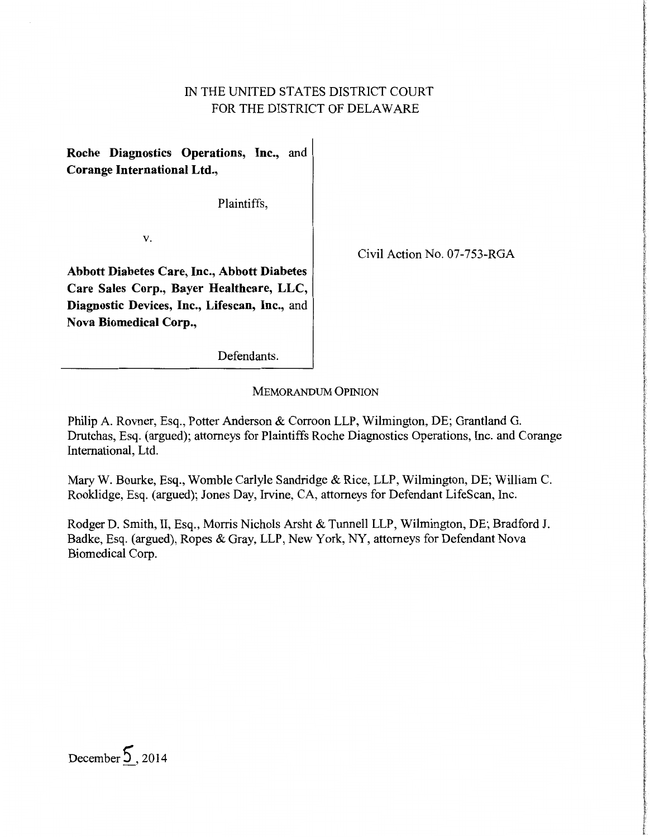# IN THE UNITED STATES DISTRICT COURT FOR THE DISTRICT OF DELAWARE

**Roche Diagnostics Operations, Inc.,** and **Corange International Ltd.,** 

Plaintiffs,

v.

Civil Action No. 07-753-RGA

**Abbott Diabetes Care, Inc., Abbott Diabetes Care Sales Corp., Bayer Healthcare, LLC, Diagnostic Devices, Inc., Lifescan, Inc.,** and **Nova Biomedical Corp.,** 

Defendants.

MEMORANDUM OPINION

Philip A. Rovner, Esq., Potter Anderson & Corroon LLP, Wilmington, DE; Grantland G. Drutchas, Esq. (argued); attorneys for Plaintiffs Roche Diagnostics Operations, Inc. and Corange International, Ltd.

MaryW. Bourke, Esq., Womble Carlyle Sandridge & Rice, LLP, Wilmington, DE; William C. Rooklidge, Esq. (argued); Jones Day, Irvine, CA, attorneys for Defendant LifeScan, Inc.

Rodger D. Smith, II, Esq., Morris Nichols Arsht & Tunnell LLP, Wilmington, DE; Bradford J. Badke, Esq. (argued), Ropes & Gray, LLP, New York, NY, attorneys for Defendant Nova Biomedical Corp.

December **5,** 2014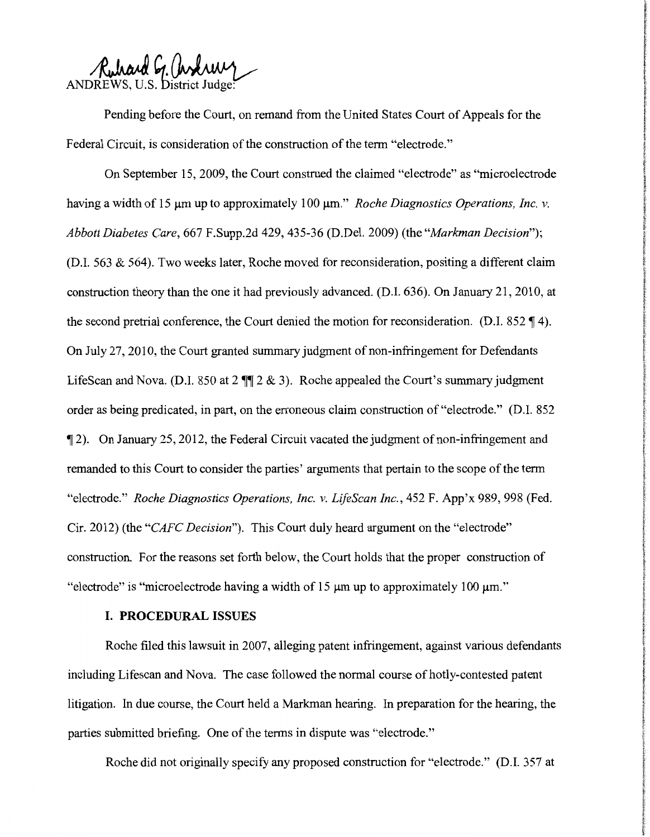Ruhard G. andrewy

Pending before the Court, on remand from the United States Court of Appeals for the Federal Circuit, is consideration of the construction of the term "electrode."

On September 15, 2009, the Court construed the claimed "electrode" as "microelectrode having a width of 15  $\mu$ m up to approximately 100  $\mu$ m." *Roche Diagnostics Operations, Inc. v. Abbott Diabetes Care,* 667 F.Supp.2d 429, 435-36 (D.Del. 2009) (the *"Markman Decision");*  (D.I. 563 & 564). Two weeks later, Roche moved for reconsideration, positing a different claim construction theory than the one it had previously advanced. (D.I. 636). On January 21, 2010, at the second pretrial conference, the Court denied the motion for reconsideration. (D.I.  $852 \text{ } \mathcal{F}$  4). On July 27, 2010, the Court granted summary judgment of non-infringement for Defendants LifeScan and Nova. (D.I. 850 at  $2 \text{ }\P\text{ }\mathbb{I} 2 \& 3$ ). Roche appealed the Court's summary judgment order as being predicated, in part, on the erroneous claim construction of "electrode." (D.I. 852 if 2). On January 25, 2012, the Federal Circuit vacated the judgment of non-infringement and remanded to this Court to consider the parties' arguments that pertain to the scope of the term "electrode." *Roche Diagnostics Operations, Inc. v. LifeScan Inc.,* 452 F. App'x 989, 998 (Fed. Cir. 2012) (the *"CAFC Decision").* This Court duly heard argument on the "electrode" construction. For the reasons set forth below, the Court holds that the proper construction of "electrode" is "microelectrode having a width of  $15 \mu m$  up to approximately  $100 \mu m$ ."

### **I. PROCEDURAL ISSUES**

Roche filed this lawsuit in 2007, alleging patent infringement, against various defendants including Lifescan and Nova. The case followed the normal course of hotly-contested patent litigation. In due course, the Court held a Markman hearing. In preparation for the hearing, the parties submitted briefing. One of the terms in dispute was "electrode."

Roche did not originally specify any proposed construction for "electrode." (D.I. 357 at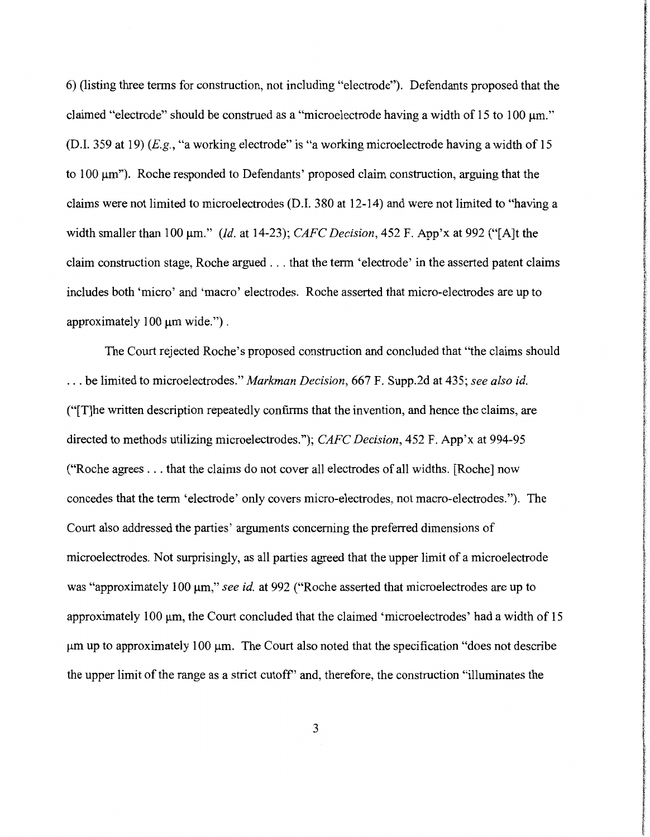6) (listing three terms for construction, not including "electrode"). Defendants proposed that the claimed "electrode" should be construed as a "microelectrode having a width of 15 to 100  $\mu$ m." (D.I. 359 at 19) (E.g., "a working electrode" is "a working microelectrode having a width of 15 to 100 µm"). Roche responded to Defendants' proposed claim construction, arguing that the claims were not limited to microelectrodes (D.I. 380 at 12-14) and were not limited to "having a width smaller than 100 µm." *(Id.* at 14-23); *CAFC Decision,* 452 F. App'x at 992 ("[A]t the claim construction stage, Roche argued ... that the term 'electrode' in the asserted patent claims includes both 'micro' and 'macro' electrodes. Roche asserted that micro-electrodes are up to approximately 100  $\mu$ m wide.").

The Court rejected Roche's proposed construction and concluded that "the claims should ... be limited to microelectrodes." *Markman Decision,* 667 F. Supp.2d at 435; *see also id.*  ("[T]he written description repeatedly confirms that the invention, and hence the claims, are directed to methods utilizing microelectrodes."); *CAFC Decision,* 452 F. App'x at 994-95 ("Roche agrees ... that the claims do not cover all electrodes of all widths. [Roche] now concedes that the term 'electrode' only covers micro-electrodes, not macro-electrodes."). The Court also addressed the parties' arguments concerning the preferred dimensions of microelectrodes. Not surprisingly, as all parties agreed that the upper limit of a microelectrode was "approximately 100 µm," *see id.* at 992 ("Roche asserted that microelectrodes are up to approximately 100 µm, the Court concluded that the claimed 'microelectrodes' had a width of 15  $\mu$ m up to approximately 100  $\mu$ m. The Court also noted that the specification "does not describe" the upper limit of the range as a strict cutoff' and, therefore, the construction "illuminates the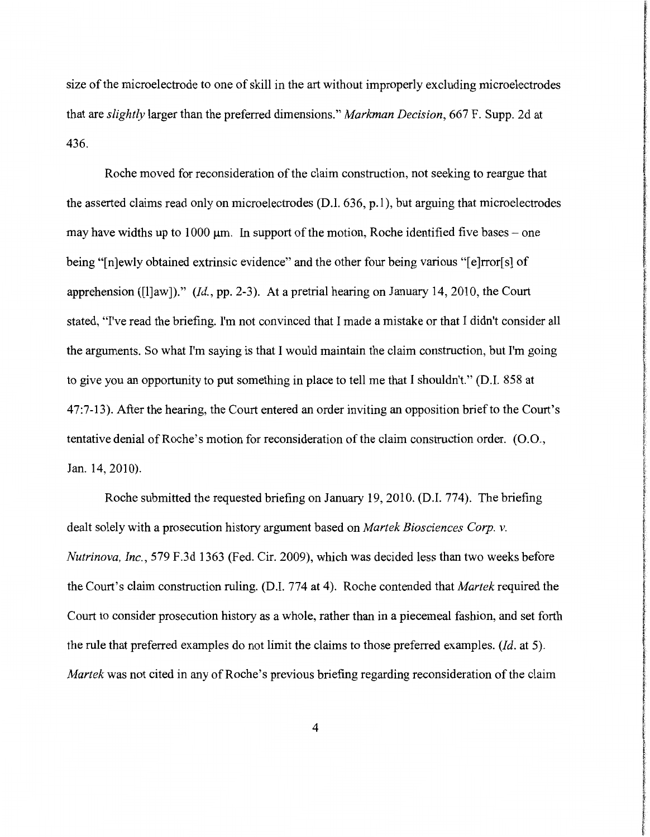size of the microelectrode to one of skill in the art without improperly excluding microelectrodes that are *slightly* larger than the preferred dimensions." *Markman Decision,* 667 F. Supp. 2d at 436.

Roche moved for reconsideration of the claim construction, not seeking to reargue that the asserted claims read only on microelectrodes (D.I. 636, p.1), but arguing that microelectrodes may have widths up to 1000  $\mu$ m. In support of the motion, Roche identified five bases – one being "[n]ewly obtained extrinsic evidence" and the other four being various "[e]rror[s] of apprehension ([l]aw])." *(Id.,* pp. 2-3). At a pretrial hearing on January 14, 2010, the Court stated, "I've read the briefing. I'm not convinced that I made a mistake or that I didn't consider all the arguments. So what I'm saying is that I would maintain the claim construction, but I'm going to give you an opportunity to put something in place to tell me that I shouldn't." (D.I. 858 at 47:7-13). After the hearing, the Court entered an order inviting an opposition brief to the Court's tentative denial of Roche's motion for reconsideration of the claim construction order. (0.0., Jan. 14, 2010).

Roche submitted the requested briefing on January 19, 2010. (D.I. 774). The briefing dealt solely with a prosecution history argument based on *Martek Biosciences Corp. v. Nutrinova, Inc.,* 579 F.3d 1363 (Fed. Cir. 2009), which was decided less than two weeks before the Court's claim construction ruling. (D.I. 774 at 4). Roche contended that *Martek* required the Court to consider prosecution history as a whole, rather than in a piecemeal fashion, and set forth the rule that preferred examples do not limit the claims to those preferred examples. *(Id.* at 5). *Martek* was not cited in any of Roche's previous briefing regarding reconsideration of the claim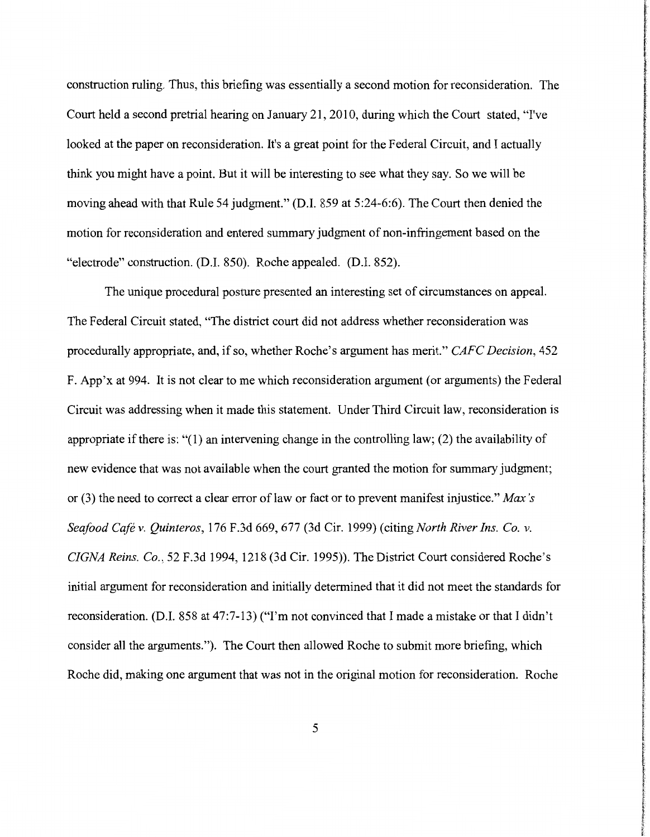construction ruling. Thus, this briefing was essentially a second motion for reconsideration. The Court held a second pretrial hearing on January 21, 2010, during which the Court stated, "I've looked at the paper on reconsideration. It's a great point for the Federal Circuit, and I actually think you might have a point. But it will be interesting to see what they say. So we will be moving ahead with that Rule 54 judgment." (D.I. 859 at 5:24-6:6). The Court then denied the motion for reconsideration and entered summary judgment of non-infringement based on the "electrode" construction. (D.I. 850). Roche appealed. (D.I. 852).

The unique procedural posture presented an interesting set of circumstances on appeal. The Federal Circuit stated, "The district court did not address whether reconsideration was procedurally appropriate, and, if so, whether Roche's argument has merit." *CAFC Decision,* 452 F. App'x at 994. It is not clear to me which reconsideration argument (or arguments) the Federal Circuit was addressing when it made this statement. Under Third Circuit law, reconsideration is appropriate if there is: " $(1)$  an intervening change in the controlling law;  $(2)$  the availability of new evidence that was not available when the court granted the motion for summary judgment; or (3) the need to correct a clear error oflaw or fact or to prevent manifest injustice." *Max's Seafood Cafe v. Quinteros,* 176 F.3d 669, 677 (3d Cir. 1999) (citing *North River Ins. Co. v. CIGNA Reins. Co.,* 52 F.3d 1994, 1218 (3d Cir. 1995)). The District Court considered Roche's initial argument for reconsideration and initially determined that it did not meet the standards for reconsideration. (D.I. 858 at 47:7-13) ("I'm not convinced that I made a mistake or that I didn't consider all the arguments."). The Court then allowed Roche to submit more briefing, which Roche did, making one argument that was not in the original motion for reconsideration. Roche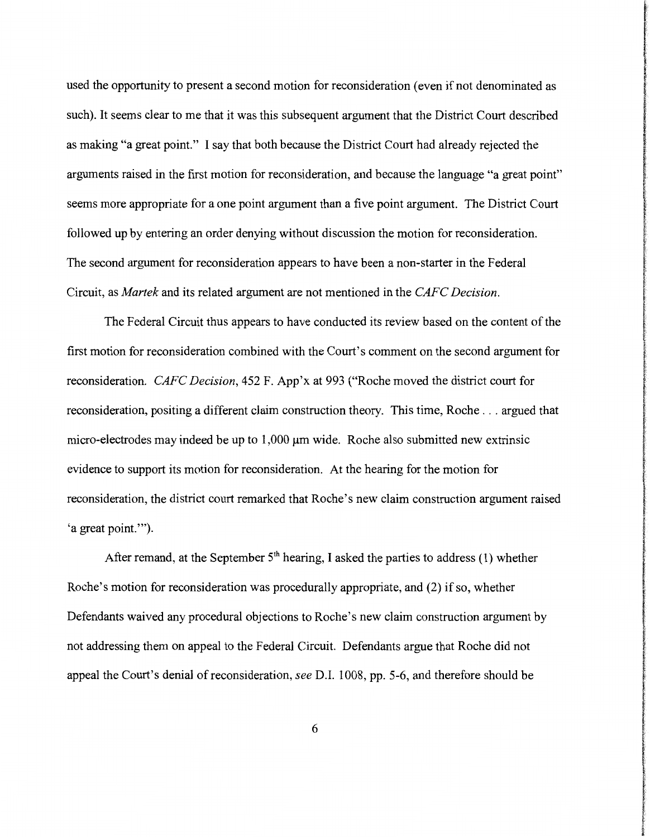used the opportunity to present a second motion for reconsideration (even if not denominated as such). It seems clear to me that it was this subsequent argument that the District Court described as making "a great point." I say that both because the District Court had already rejected the arguments raised in the first motion for reconsideration, and because the language "a great point" seems more appropriate for a one point argument than a five point argument. The District Court followed up by entering an order denying without discussion the motion for reconsideration. The second argument for reconsideration appears to have been a non-starter in the Federal Circuit, as *Martek* and its related argument are not mentioned in the *CAFC Decision.* 

The Federal Circuit thus appears to have conducted its review based on the content of the first motion for reconsideration combined with the Court's comment on the second argument for reconsideration. *CAFC Decision,* 452 F. App'x at 993 ("Roche moved the district court for reconsideration, positing a different claim construction theory. This time, Roche ... argued that micro-electrodes may indeed be up to 1,000  $\mu$ m wide. Roche also submitted new extrinsic evidence to support its motion for reconsideration. At the hearing for the motion for reconsideration, the district court remarked that Roche's new claim construction argument raised 'a great point."').

After remand, at the September  $5<sup>th</sup>$  hearing, I asked the parties to address (1) whether Roche's motion for reconsideration was procedurally appropriate, and (2) if so, whether Defendants waived any procedural objections to Roche's new claim construction argument by not addressing them on appeal to the Federal Circuit. Defendants argue that Roche did not appeal the Court's denial of reconsideration, *see* D.I. 1008, pp. 5-6, and therefore should be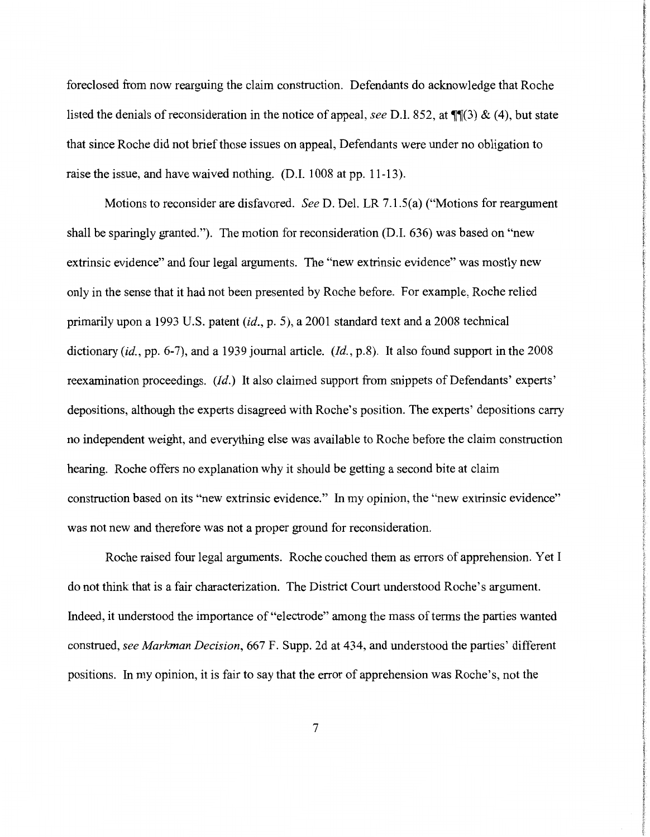foreclosed from now rearguing the claim construction. Defendants do acknowledge that Roche listed the denials of reconsideration in the notice of appeal, *see* D.I. 852, at  $\P(3)$  & (4), but state that since Roche did not brief those issues on appeal, Defendants were under no obligation to raise the issue, and have waived nothing. (D.I. 1008 at pp. 11-13).

Motions to reconsider are disfavored. *See* D. Del. LR 7.1.5(a) ("Motions for reargument shall be sparingly granted."). The motion for reconsideration (D.I. 636) was based on "new extrinsic evidence" and four legal arguments. The "new extrinsic evidence" was mostly new only in the sense that it had not been presented by Roche before. For example, Roche relied primarily upon a 1993 U.S. patent (id., p. 5), a 2001 standard text and a 2008 technical dictionary (id., pp. 6-7), and a 1939 journal article. *(Id.,* p.8). It also found support in the 2008 reexamination proceedings. *(Id.)* It also claimed support from snippets of Defendants' experts' depositions, although the experts disagreed with Roche's position. The experts' depositions carry no independent weight, and everything else was available to Roche before the claim construction hearing. Roche offers no explanation why it should be getting a second bite at claim construction based on its "new extrinsic evidence." In my opinion, the "new extrinsic evidence" was not new and therefore was not a proper ground for reconsideration.

Roche raised four legal arguments. Roche couched them as errors of apprehension. Yet I do not think that is a fair characterization. The District Court understood Roche's argument. Indeed, it understood the importance of "electrode" among the mass of terms the parties wanted construed, *see Markman Decision,* 667 F. Supp. 2d at 434, and understood the parties' different positions. In my opinion, it is fair to say that the error of apprehension was Roche's, not the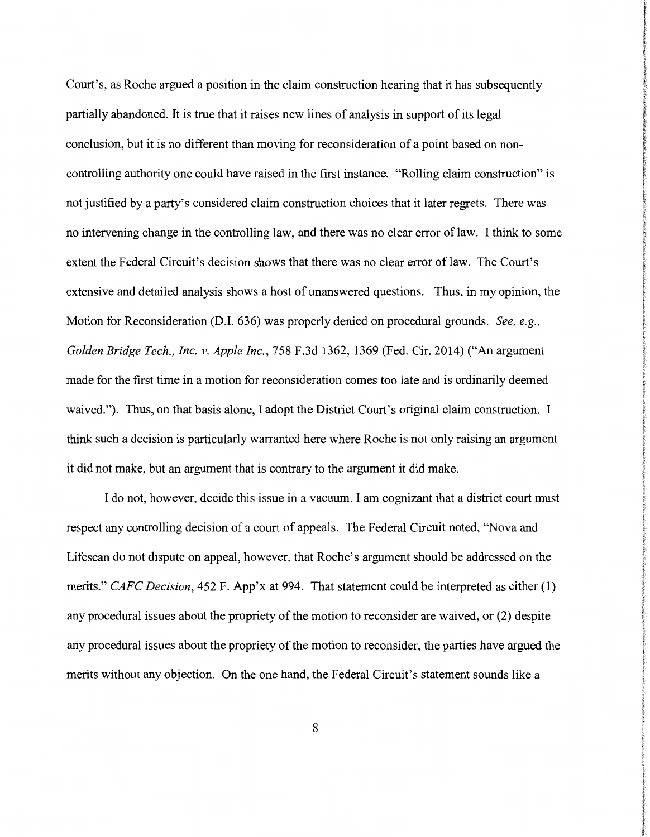Court's, as Roche argued a position in the claim construction hearing that it has subsequently partially abandoned. It is true that it raises new lines of analysis in support of its legal conclusion, but it is no different than moving for reconsideration of a point based on noncontrolling authority one could have raised in the first instance. "Rolling claim construction" is not justified by a party's considered claim construction choices that it later regrets. There was no intervening change in the controlling law, and there was no clear error of law. I think to some extent the Federal Circuit's decision shows that there was no clear error of law. The Court's extensive and detailed analysis shows a host of unanswered questions. Thus, in my opinion, the Motion for Reconsideration (D.1. 636) was properly denied on procedural grounds. *See, e.g., Golden Bridge Tech., Inc. v. Apple Inc.,* 758 F.3d 1362, 1369 (Fed. Cir. 2014) ("An argument made for the first time in a motion for reconsideration comes too late and is ordinarily deemed waived."). Thus, on that basis alone, I adopt the District Court's original claim construction. I think such a decision is particularly warranted here where Roche is not only raising an argument it did not make, but an argument that is contrary to the argument it did make.

I do not, however, decide this issue in a vacuum. I am cognizant that a district court must respect any controlling decision of a court of appeals. The Federal Circuit noted, "Nova and Lifescan do not dispute on appeal, however, that Roche's argument should be addressed on the merits." *CAFC Decision,* 452 F. App'x at 994. That statement could be interpreted as either (1) any procedural issues about the propriety of the motion to reconsider are waived, or (2) despite any procedural issues about the propriety of the motion to reconsider, the parties have argued the merits without any objection. On the one hand, the Federal Circuit's statement sounds like a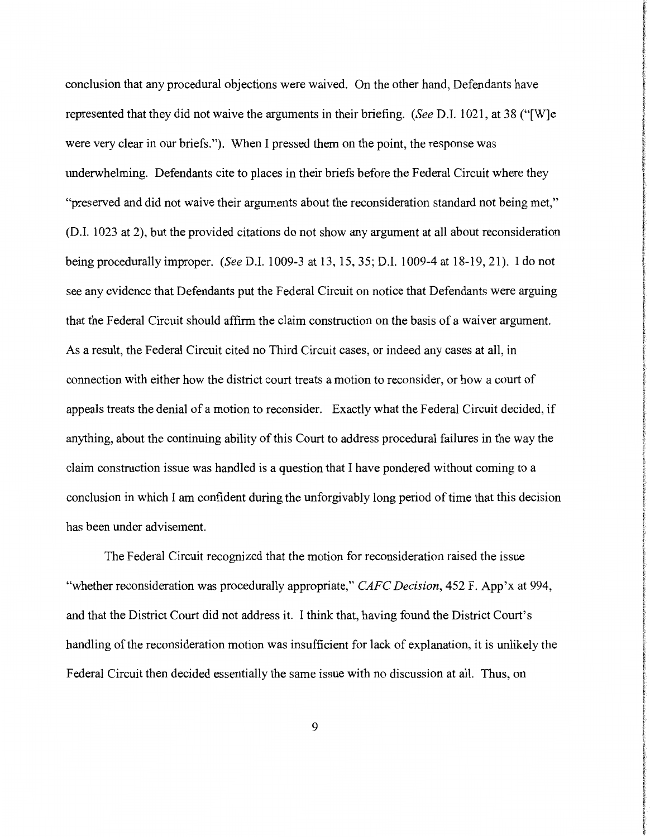conclusion that any procedural objections were waived. On the other hand, Defendants have represented that they did not waive the arguments in their briefing. *(See* D.I. 1021, at 38 ("[W]e were very clear in our briefs."). When I pressed them on the point, the response was underwhelming. Defendants cite to places in their briefs before the Federal Circuit where they "preserved and did not waive their arguments about the reconsideration standard not being met," (D.I. 1023 at 2), but the provided citations do not show any argument at all about reconsideration being procedurally improper. *(See* D.I. 1009-3 at 13, 15, 35; D.I. 1009-4 at 18-19, 21). I do not see any evidence that Defendants put the Federal Circuit on notice that Defendants were arguing that the Federal Circuit should affirm the claim construction on the basis of a waiver argument. As a result, the Federal Circuit cited no Third Circuit cases, or indeed any cases at all, in connection with either how the district court treats a motion to reconsider, or how a court of appeals treats the denial of a motion to reconsider. Exactly what the Federal Circuit decided, if anything, about the continuing ability of this Court to address procedural failures in the way the claim construction issue was handled is a question that I have pondered without coming to a conclusion in which I am confident during the unforgivably long period of time that this decision has been under advisement.

The Federal Circuit recognized that the motion for reconsideration raised the issue "whether reconsideration was procedurally appropriate," *CAFC Decision,* 452 F. App'x at 994, and that the District Court did not address it. I think that, having found the District Court's handling of the reconsideration motion was insufficient for lack of explanation, it is unlikely the Federal Circuit then decided essentially the same issue with no discussion at all. Thus, on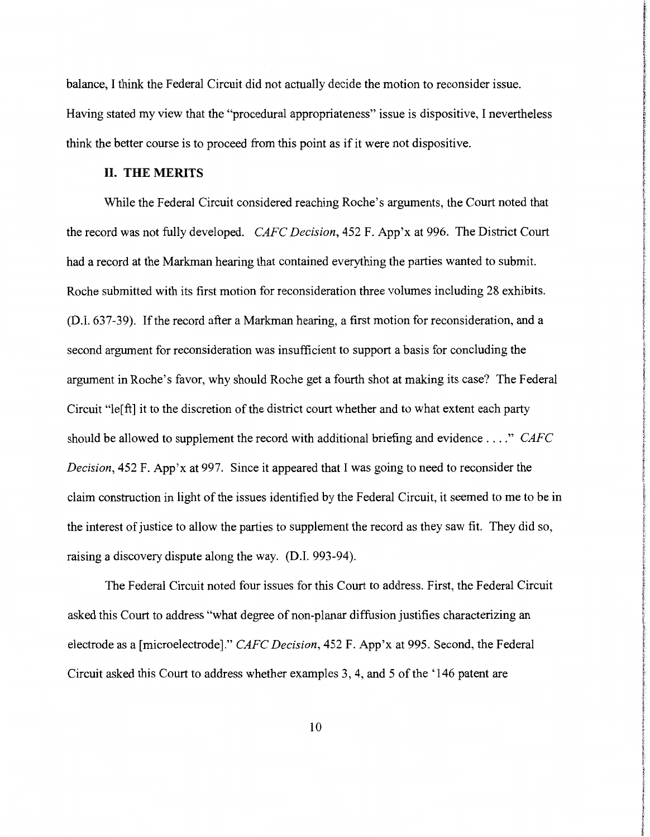balance, I think the Federal Circuit did not actually decide the motion to reconsider issue. Having stated my view that the "procedural appropriateness" issue is dispositive, I nevertheless think the better course is to proceed from this point as if it were not dispositive.

#### **II. THE MERITS**

While the Federal Circuit considered reaching Roche's arguments, the Court noted that the record was not fully developed. *CAFC Decision,* 452 F. App'x at 996. The District Court had a record at the Markman hearing that contained everything the parties wanted to submit. Roche submitted with its first motion for reconsideration three volumes including 28 exhibits. (D.I. 637-39). If the record after a Markman hearing, a first motion for reconsideration, and a second argument for reconsideration was insufficient to support a basis for concluding the argument in Roche's favor, why should Roche get a fourth shot at making its case? The Federal Circuit "le[ ft] it to the discretion of the district court whether and to what extent each party should be allowed to supplement the record with additional briefing and evidence .... " *CAFC Decision,* 452 F. App'x at 997. Since it appeared that I was going to need to reconsider the claim construction in light of the issues identified by the Federal Circuit, it seemed to me to be in the interest of justice to allow the parties to supplement the record as they saw fit. They did so, raising a discovery dispute along the way. (D.I. 993-94).

The Federal Circuit noted four issues for this Court to address. First, the Federal Circuit asked this Court to address "what degree of non-planar diffusion justifies characterizing an electrode as a [microelectrode]." *CAFC Decision,* 452 F. App'x at 995. Second, the Federal Circuit asked this Court to address whether examples 3, 4, and 5 of the '146 patent are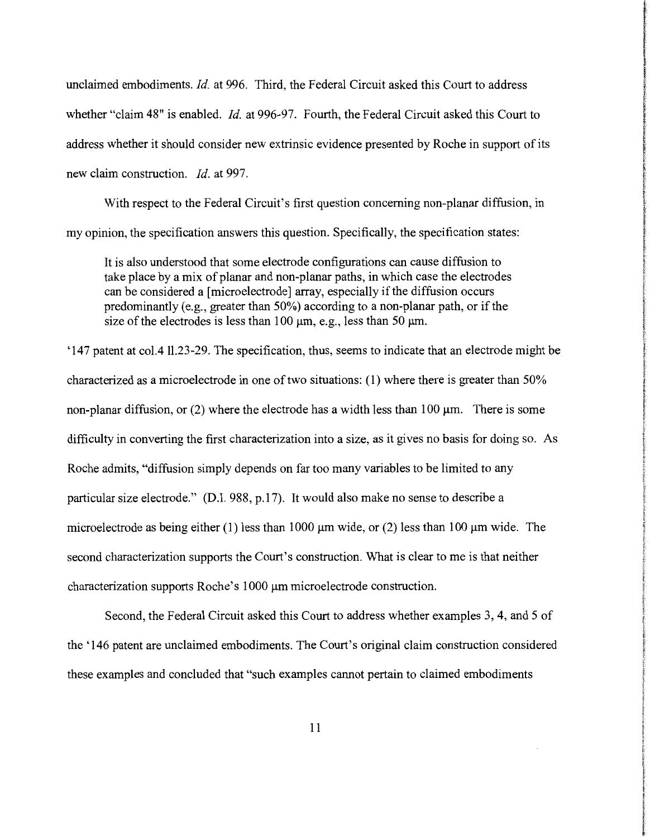unclaimed embodiments. *Id.* at 996. Third, the Federal Circuit asked this Court to address whether "claim 48" is enabled. *Id.* at 996-97. Fourth, the Federal Circuit asked this Court to address whether it should consider new extrinsic evidence presented by Roche in support of its new claim construction. *Id.* at 997.

With respect to the Federal Circuit's first question concerning non-planar diffusion, in my opinion, the specification answers this question. Specifically, the specification states:

It is also understood that some electrode configurations can cause diffusion to take place by a mix of planar and non-planar paths, in which case the electrodes can be considered a [microelectrode] array, especially if the diffusion occurs predominantly (e.g., greater than 50%) according to a non-planar path, or if the size of the electrodes is less than 100  $\mu$ m, e.g., less than 50  $\mu$ m.

'147 patent at col.411.23-29. The specification, thus, seems to indicate that an electrode might be characterized as a microelectrode in one of two situations: (1) where there is greater than 50% non-planar diffusion, or  $(2)$  where the electrode has a width less than 100  $\mu$ m. There is some difficulty in converting the first characterization into a size, as it gives no basis for doing so. As Roche admits, "diffusion simply depends on far too many variables to be limited to any particular size electrode." (D.I. 988, p.17). It would also make no sense to describe a microelectrode as being either (1) less than 1000  $\mu$ m wide, or (2) less than 100  $\mu$ m wide. The second characterization supports the Court's construction. What is clear to me is that neither characterization supports Roche's 1000 µm microelectrode construction.

Second, the Federal Circuit asked this Court to address whether examples 3, 4, and 5 of the '146 patent are unclaimed embodiments. The Court's original claim construction considered these examples and concluded that "such examples cannot pertain to claimed embodiments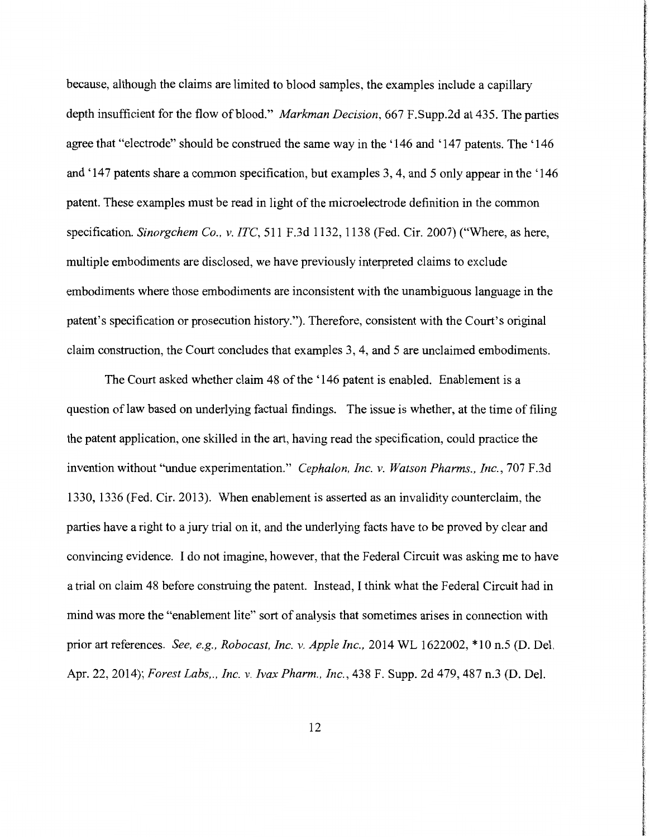because, although the claims are limited to blood samples, the examples include a capillary depth insufficient for the flow of blood." *Markman Decision,* 667 F.Supp.2d at 435. The parties agree that "electrode" should be construed the same way in the '146 and '147 patents. The '146 and '147 patents share a common specification, but examples 3, 4, and 5 only appear in the '146 patent. These examples must be read in light of the microelectrode definition in the common specification. *Sinorgchem Co., v. ITC,* 511 F.3d 1132, 1138 (Fed. Cir. 2007) ("Where, as here, multiple embodiments are disclosed, we have previously interpreted claims to exclude embodiments where those embodiments are inconsistent with the unambiguous language in the patent's specification or prosecution history."). Therefore, consistent with the Court's original claim construction, the Court concludes that examples 3, 4, and 5 are unclaimed embodiments.

The Court asked whether claim 48 of the '146 patent is enabled. Enablement is a question oflaw based on underlying factual findings. The issue is whether, at the time of filing the patent application, one skilled in the art, having read the specification, could practice the invention without ''undue experimentation." *Cephalon, Inc. v. Watson Pharms., Inc.,* 707 F.3d 1330, 1336 (Fed. Cir. 2013). When enablement is asserted as an invalidity counterclaim, the parties have a right to a jury trial on it, and the underlying facts have to be proved by clear and convincing evidence. I do not imagine, however, that the Federal Circuit was asking me to have a trial on claim 48 before construing the patent. Instead, I think what the Federal Circuit had in mind was more the "enablement lite" sort of analysis that sometimes arises in connection with prior art references. *See, e.g., Robocast, Inc. v. Apple Inc.,* 2014 WL 1622002, \*10 n.5 (D. Del. Apr. 22, 2014); *Forest Labs,., Inc. v. Ivax Pharm., Inc.,* 438 F. Supp. 2d 479, 487 n.3 (D. Del.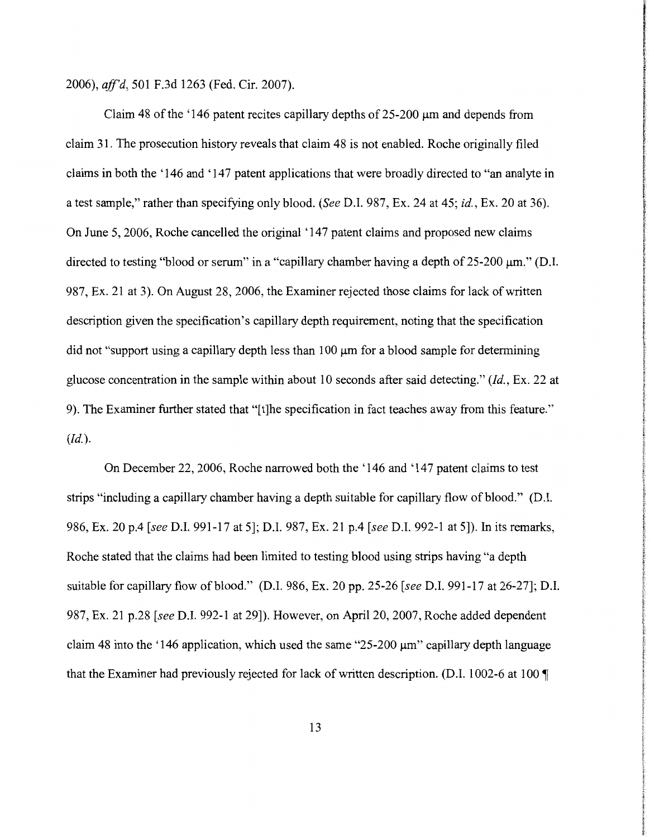2006), *aff'd,* 501 F.3d 1263 (Fed. Cir. 2007).

Claim 48 of the '146 patent recites capillary depths of  $25{\text -}200 \mu m$  and depends from claim 31. The prosecution history reveals that claim 48 is not enabled. Roche originally filed claims in both the '146 and '147 patent applications that were broadly directed to "an analyte in a test sample," rather than specifying only blood. (See D.I. 987, Ex. 24 at 45; *id.,* Ex. 20 at 36). On June 5, 2006, Roche cancelled the original '147 patent claims and proposed new claims directed to testing "blood or serum" in a "capillary chamber having a depth of 25-200  $\mu$ m." (D.I. 987, Ex. 21 at 3). On August 28, 2006, the Examiner rejected those claims for lack of written description given the specification's capillary depth requirement, noting that the specification did not "support using a capillary depth less than 100 µm for a blood sample for determining glucose concentration in the sample within about 10 seconds after said detecting." *(Id.,* Ex. 22 at 9). The Examiner further stated that "[t]he specification in fact teaches away from this feature." *(Id.).* 

On December 22, 2006, Roche narrowed both the '146 and '147 patent claims to test strips "including a capillary chamber having a depth suitable for capillary flow of blood." (D.I. 986, Ex. 20 p.4 [see D.I. 991-17 at 5]; D.I. 987, Ex. 21 p.4 [see D.I. 992-1 at 5]). In its remarks, Roche stated that the claims had been limited to testing blood using strips having "a depth suitable for capillary flow of blood." (D.I. 986, Ex. 20 pp. 25-26 [see D.I. 991-17 at 26-27]; D.I. 987, Ex. 21 p.28 [see D.I. 992-1 at 29]). However, on April 20, 2007, Roche added dependent claim 48 into the '146 application, which used the same " $25-200 \mu m$ " capillary depth language that the Examiner had previously rejected for lack of written description. (D.I. 1002-6 at 100  $\P$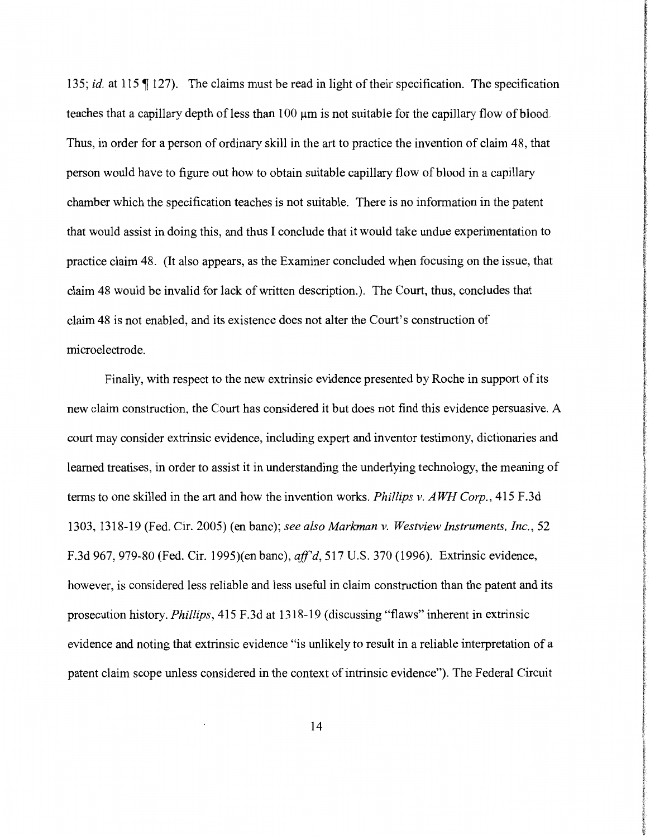135; *id.* at 115  $\llbracket$  127). The claims must be read in light of their specification. The specification teaches that a capillary depth of less than 100 µm is not suitable for the capillary flow of blood. Thus, in order for a person of ordinary skill in the art to practice the invention of claim 48, that person would have to figure out how to obtain suitable capillary flow of blood in a capillary chamber which the specification teaches is not suitable. There is no information in the patent that would assist in doing this, and thus I conclude that it would take undue experimentation to practice claim 48. (It also appears, as the Examiner concluded when focusing on the issue, that claim 48 would be invalid for lack of written description.). The Court, thus, concludes that claim 48 is not enabled, and its existence does not alter the Court's construction of microelectrode.

Finally, with respect to the new extrinsic evidence presented by Roche in support of its new claim construction, the Court has considered it but does not find this evidence persuasive. A court may consider extrinsic evidence, including expert and inventor testimony, dictionaries and learned treatises, in order to assist it in understanding the underlying technology, the meaning of terms to one skilled in the art and how the invention works. *Phillips v. A WH Corp.,* 415 F .3d 1303, 1318-19 (Fed. Cir. 2005) (en bane); *see also Markman v. Westview Instruments, Inc.,* 52 F.3d 967, 979-80 (Fed. Cir. 1995)(en bane), *aff'd,* 517 U.S. 370 (1996). Extrinsic evidence, however, is considered less reliable and less useful in claim construction than the patent and its prosecution history. *Phillips,* 415 F .3d at 1318-19 (discussing "flaws" inherent in extrinsic evidence and noting that extrinsic evidence "is unlikely to result in a reliable interpretation of a patent claim scope unless considered in the context of intrinsic evidence"). The Federal Circuit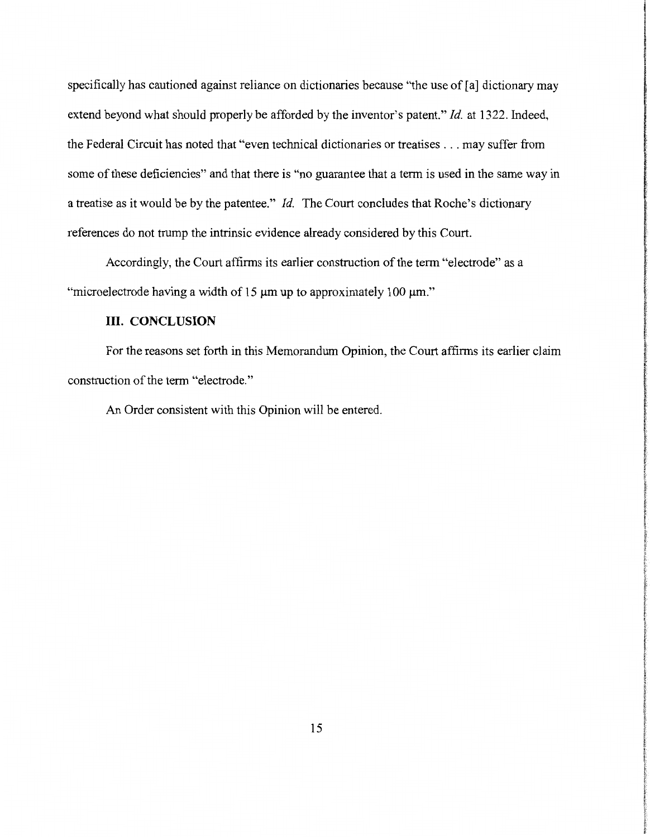specifically has cautioned against reliance on dictionaries because "the use of [a] dictionary may extend beyond what should properly be afforded by the inventor's patent." *Id.* at 1322. Indeed, the Federal Circuit has noted that "even technical dictionaries or treatises ... may suffer from some of these deficiencies" and that there is "no guarantee that a term is used in the same way in a treatise as it would be by the patentee." Id. The Court concludes that Roche's dictionary references do not trump the intrinsic evidence already considered by this Court.

Accordingly, the Court affirms its earlier construction of the term "electrode" as a "microelectrode having a width of 15  $\mu$ m up to approximately 100  $\mu$ m."

### III. **CONCLUSION**

For the reasons set forth in this Memorandum Opinion, the Court affirms its earlier claim construction of the term "electrode."

An Order consistent with this Opinion will be entered.